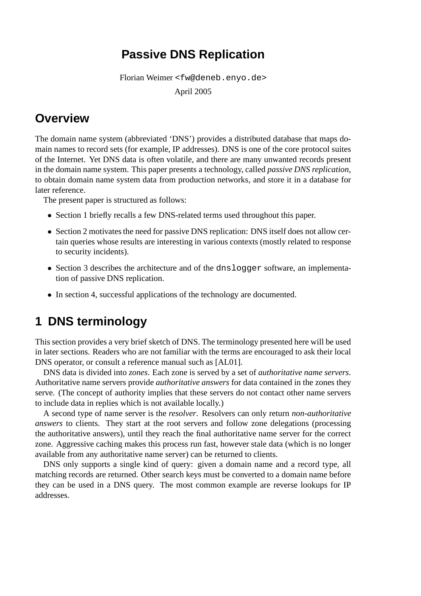## **Passive DNS Replication**

Florian Weimer <fw@deneb.enyo.de>

April 2005

## **Overview**

The domain name system (abbreviated 'DNS') provides a distributed database that maps domain names to record sets (for example, IP addresses). DNS is one of the core protocol suites of the Internet. Yet DNS data is often volatile, and there are many unwanted records present in the domain name system. This paper presents a technology, called *passive DNS replication*, to obtain domain name system data from production networks, and store it in a database for later reference.

The present paper is structured as follows:

- Section 1 briefly recalls a few DNS-related terms used throughout this paper.
- Section 2 motivates the need for passive DNS replication: DNS itself does not allow certain queries whose results are interesting in various contexts (mostly related to response to security incidents).
- Section 3 describes the architecture and of the dnslogger software, an implementation of passive DNS replication.
- In section 4, successful applications of the technology are documented.

# **1 DNS terminology**

This section provides a very brief sketch of DNS. The terminology presented here will be used in later sections. Readers who are not familiar with the terms are encouraged to ask their local DNS operator, or consult a reference manual such as [AL01].

DNS data is divided into *zones*. Each zone is served by a set of *authoritative name servers*. Authoritative name servers provide *authoritative answers* for data contained in the zones they serve. (The concept of authority implies that these servers do not contact other name servers to include data in replies which is not available locally.)

A second type of name server is the *resolver*. Resolvers can only return *non-authoritative answers* to clients. They start at the root servers and follow zone delegations (processing the authoritative answers), until they reach the final authoritative name server for the correct zone. Aggressive caching makes this process run fast, however stale data (which is no longer available from any authoritative name server) can be returned to clients.

DNS only supports a single kind of query: given a domain name and a record type, all matching records are returned. Other search keys must be converted to a domain name before they can be used in a DNS query. The most common example are reverse lookups for IP addresses.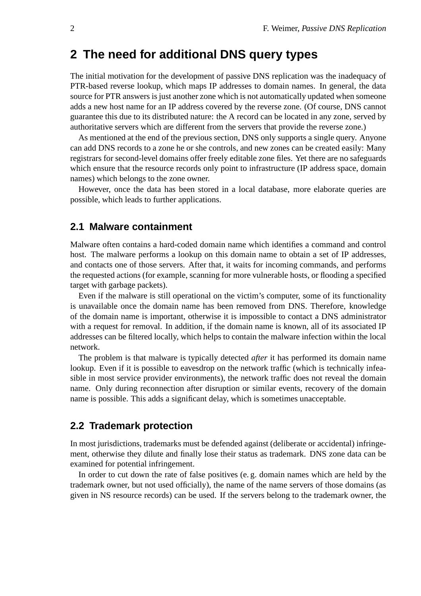## **2 The need for additional DNS query types**

The initial motivation for the development of passive DNS replication was the inadequacy of PTR-based reverse lookup, which maps IP addresses to domain names. In general, the data source for PTR answers is just another zone which is not automatically updated when someone adds a new host name for an IP address covered by the reverse zone. (Of course, DNS cannot guarantee this due to its distributed nature: the A record can be located in any zone, served by authoritative servers which are different from the servers that provide the reverse zone.)

As mentioned at the end of the previous section, DNS only supports a single query. Anyone can add DNS records to a zone he or she controls, and new zones can be created easily: Many registrars for second-level domains offer freely editable zone files. Yet there are no safeguards which ensure that the resource records only point to infrastructure (IP address space, domain names) which belongs to the zone owner.

However, once the data has been stored in a local database, more elaborate queries are possible, which leads to further applications.

#### **2.1 Malware containment**

Malware often contains a hard-coded domain name which identifies a command and control host. The malware performs a lookup on this domain name to obtain a set of IP addresses, and contacts one of those servers. After that, it waits for incoming commands, and performs the requested actions (for example, scanning for more vulnerable hosts, or flooding a specified target with garbage packets).

Even if the malware is still operational on the victim's computer, some of its functionality is unavailable once the domain name has been removed from DNS. Therefore, knowledge of the domain name is important, otherwise it is impossible to contact a DNS administrator with a request for removal. In addition, if the domain name is known, all of its associated IP addresses can be filtered locally, which helps to contain the malware infection within the local network.

The problem is that malware is typically detected *after* it has performed its domain name lookup. Even if it is possible to eavesdrop on the network traffic (which is technically infeasible in most service provider environments), the network traffic does not reveal the domain name. Only during reconnection after disruption or similar events, recovery of the domain name is possible. This adds a significant delay, which is sometimes unacceptable.

#### **2.2 Trademark protection**

In most jurisdictions, trademarks must be defended against (deliberate or accidental) infringement, otherwise they dilute and finally lose their status as trademark. DNS zone data can be examined for potential infringement.

In order to cut down the rate of false positives (e. g. domain names which are held by the trademark owner, but not used officially), the name of the name servers of those domains (as given in NS resource records) can be used. If the servers belong to the trademark owner, the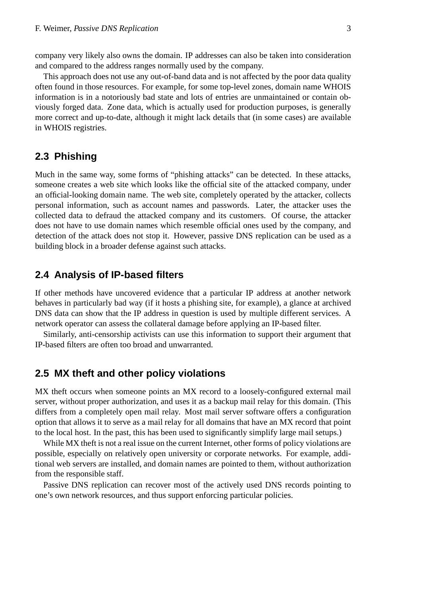company very likely also owns the domain. IP addresses can also be taken into consideration and compared to the address ranges normally used by the company.

This approach does not use any out-of-band data and is not affected by the poor data quality often found in those resources. For example, for some top-level zones, domain name WHOIS information is in a notoriously bad state and lots of entries are unmaintained or contain obviously forged data. Zone data, which is actually used for production purposes, is generally more correct and up-to-date, although it might lack details that (in some cases) are available in WHOIS registries.

### **2.3 Phishing**

Much in the same way, some forms of "phishing attacks" can be detected. In these attacks, someone creates a web site which looks like the official site of the attacked company, under an official-looking domain name. The web site, completely operated by the attacker, collects personal information, such as account names and passwords. Later, the attacker uses the collected data to defraud the attacked company and its customers. Of course, the attacker does not have to use domain names which resemble official ones used by the company, and detection of the attack does not stop it. However, passive DNS replication can be used as a building block in a broader defense against such attacks.

#### **2.4 Analysis of IP-based filters**

If other methods have uncovered evidence that a particular IP address at another network behaves in particularly bad way (if it hosts a phishing site, for example), a glance at archived DNS data can show that the IP address in question is used by multiple different services. A network operator can assess the collateral damage before applying an IP-based filter.

Similarly, anti-censorship activists can use this information to support their argument that IP-based filters are often too broad and unwarranted.

#### **2.5 MX theft and other policy violations**

MX theft occurs when someone points an MX record to a loosely-configured external mail server, without proper authorization, and uses it as a backup mail relay for this domain. (This differs from a completely open mail relay. Most mail server software offers a configuration option that allows it to serve as a mail relay for all domains that have an MX record that point to the local host. In the past, this has been used to significantly simplify large mail setups.)

While MX theft is not a real issue on the current Internet, other forms of policy violations are possible, especially on relatively open university or corporate networks. For example, additional web servers are installed, and domain names are pointed to them, without authorization from the responsible staff.

Passive DNS replication can recover most of the actively used DNS records pointing to one's own network resources, and thus support enforcing particular policies.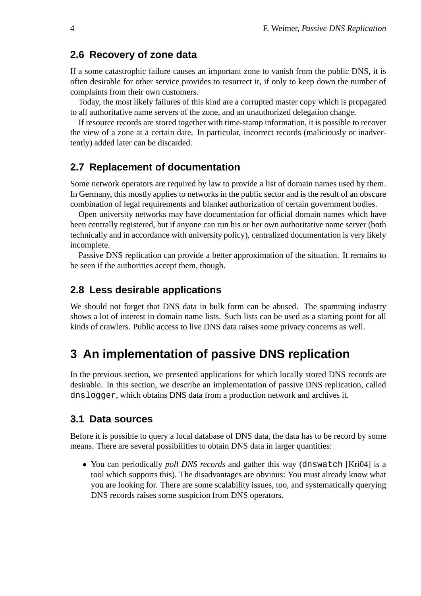#### **2.6 Recovery of zone data**

If a some catastrophic failure causes an important zone to vanish from the public DNS, it is often desirable for other service provides to resurrect it, if only to keep down the number of complaints from their own customers.

Today, the most likely failures of this kind are a corrupted master copy which is propagated to all authoritative name servers of the zone, and an unauthorized delegation change.

If resource records are stored together with time-stamp information, it is possible to recover the view of a zone at a certain date. In particular, incorrect records (maliciously or inadvertently) added later can be discarded.

#### **2.7 Replacement of documentation**

Some network operators are required by law to provide a list of domain names used by them. In Germany, this mostly applies to networks in the public sector and is the result of an obscure combination of legal requirements and blanket authorization of certain government bodies.

Open university networks may have documentation for official domain names which have been centrally registered, but if anyone can run his or her own authoritative name server (both technically and in accordance with university policy), centralized documentation is very likely incomplete.

Passive DNS replication can provide a better approximation of the situation. It remains to be seen if the authorities accept them, though.

#### **2.8 Less desirable applications**

We should not forget that DNS data in bulk form can be abused. The spamming industry shows a lot of interest in domain name lists. Such lists can be used as a starting point for all kinds of crawlers. Public access to live DNS data raises some privacy concerns as well.

## **3 An implementation of passive DNS replication**

In the previous section, we presented applications for which locally stored DNS records are desirable. In this section, we describe an implementation of passive DNS replication, called dnslogger, which obtains DNS data from a production network and archives it.

#### **3.1 Data sources**

Before it is possible to query a local database of DNS data, the data has to be record by some means. There are several possibilities to obtain DNS data in larger quantities:

• You can periodically *poll DNS records* and gather this way (dnswatch [Kri04] is a tool which supports this). The disadvantages are obvious: You must already know what you are looking for. There are some scalability issues, too, and systematically querying DNS records raises some suspicion from DNS operators.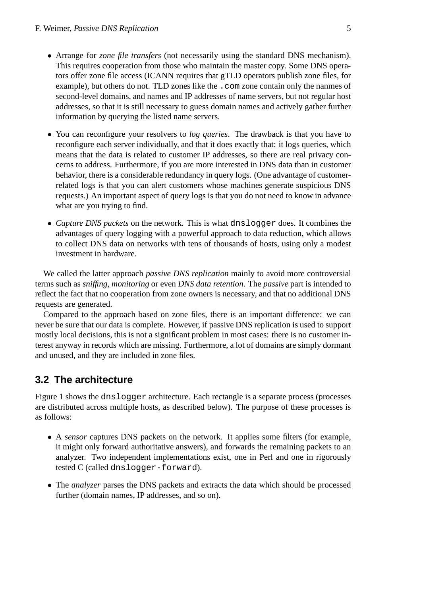- Arrange for *zone file transfers* (not necessarily using the standard DNS mechanism). This requires cooperation from those who maintain the master copy. Some DNS operators offer zone file access (ICANN requires that gTLD operators publish zone files, for example), but others do not. TLD zones like the .com zone contain only the nanmes of second-level domains, and names and IP addresses of name servers, but not regular host addresses, so that it is still necessary to guess domain names and actively gather further information by querying the listed name servers.
- You can reconfigure your resolvers to *log queries*. The drawback is that you have to reconfigure each server individually, and that it does exactly that: it logs queries, which means that the data is related to customer IP addresses, so there are real privacy concerns to address. Furthermore, if you are more interested in DNS data than in customer behavior, there is a considerable redundancy in query logs. (One advantage of customerrelated logs is that you can alert customers whose machines generate suspicious DNS requests.) An important aspect of query logs is that you do not need to know in advance what are you trying to find.
- *Capture DNS packets* on the network. This is what dnslogger does. It combines the advantages of query logging with a powerful approach to data reduction, which allows to collect DNS data on networks with tens of thousands of hosts, using only a modest investment in hardware.

We called the latter approach *passive DNS replication* mainly to avoid more controversial terms such as *sniffing*, *monitoring* or even *DNS data retention*. The *passive* part is intended to reflect the fact that no cooperation from zone owners is necessary, and that no additional DNS requests are generated.

Compared to the approach based on zone files, there is an important difference: we can never be sure that our data is complete. However, if passive DNS replication is used to support mostly local decisions, this is not a significant problem in most cases: there is no customer interest anyway in records which are missing. Furthermore, a lot of domains are simply dormant and unused, and they are included in zone files.

### **3.2 The architecture**

Figure 1 shows the dnslogger architecture. Each rectangle is a separate process (processes are distributed across multiple hosts, as described below). The purpose of these processes is as follows:

- A *sensor* captures DNS packets on the network. It applies some filters (for example, it might only forward authoritative answers), and forwards the remaining packets to an analyzer. Two independent implementations exist, one in Perl and one in rigorously tested C (called dnslogger-forward).
- The *analyzer* parses the DNS packets and extracts the data which should be processed further (domain names, IP addresses, and so on).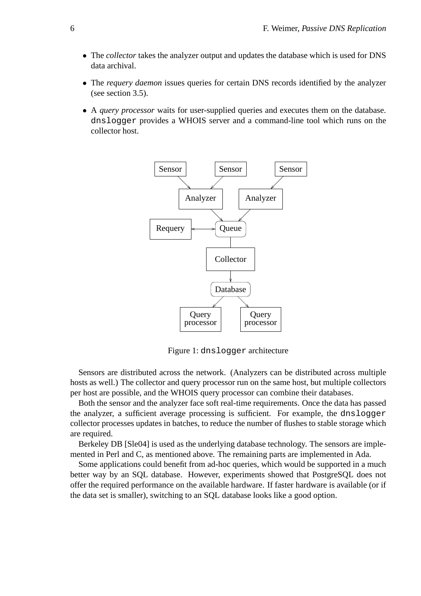- The *collector* takes the analyzer output and updates the database which is used for DNS data archival.
- The *requery daemon* issues queries for certain DNS records identified by the analyzer (see section 3.5).
- A *query processor* waits for user-supplied queries and executes them on the database. dnslogger provides a WHOIS server and a command-line tool which runs on the collector host.



Figure 1: dnslogger architecture

Sensors are distributed across the network. (Analyzers can be distributed across multiple hosts as well.) The collector and query processor run on the same host, but multiple collectors per host are possible, and the WHOIS query processor can combine their databases.

Both the sensor and the analyzer face soft real-time requirements. Once the data has passed the analyzer, a sufficient average processing is sufficient. For example, the dnslogger collector processes updates in batches, to reduce the number of flushes to stable storage which are required.

Berkeley DB [Sle04] is used as the underlying database technology. The sensors are implemented in Perl and C, as mentioned above. The remaining parts are implemented in Ada.

Some applications could benefit from ad-hoc queries, which would be supported in a much better way by an SQL database. However, experiments showed that PostgreSQL does not offer the required performance on the available hardware. If faster hardware is available (or if the data set is smaller), switching to an SQL database looks like a good option.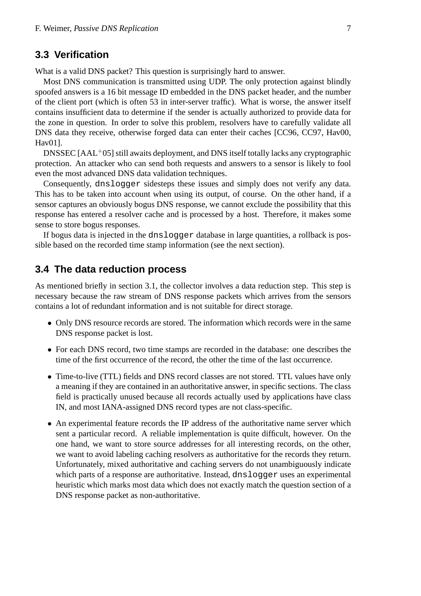#### **3.3 Verification**

What is a valid DNS packet? This question is surprisingly hard to answer.

Most DNS communication is transmitted using UDP. The only protection against blindly spoofed answers is a 16 bit message ID embedded in the DNS packet header, and the number of the client port (which is often 53 in inter-server traffic). What is worse, the answer itself contains insufficient data to determine if the sender is actually authorized to provide data for the zone in question. In order to solve this problem, resolvers have to carefully validate all DNS data they receive, otherwise forged data can enter their caches [CC96, CC97, Hav00, Hav01].

DNSSEC  $[AAL<sup>+</sup>05]$  still awaits deployment, and DNS itself totally lacks any cryptographic protection. An attacker who can send both requests and answers to a sensor is likely to fool even the most advanced DNS data validation techniques.

Consequently, dnslogger sidesteps these issues and simply does not verify any data. This has to be taken into account when using its output, of course. On the other hand, if a sensor captures an obviously bogus DNS response, we cannot exclude the possibility that this response has entered a resolver cache and is processed by a host. Therefore, it makes some sense to store bogus responses.

If bogus data is injected in the dnslogger database in large quantities, a rollback is possible based on the recorded time stamp information (see the next section).

#### **3.4 The data reduction process**

As mentioned briefly in section 3.1, the collector involves a data reduction step. This step is necessary because the raw stream of DNS response packets which arrives from the sensors contains a lot of redundant information and is not suitable for direct storage.

- Only DNS resource records are stored. The information which records were in the same DNS response packet is lost.
- For each DNS record, two time stamps are recorded in the database: one describes the time of the first occurrence of the record, the other the time of the last occurrence.
- Time-to-live (TTL) fields and DNS record classes are not stored. TTL values have only a meaning if they are contained in an authoritative answer, in specific sections. The class field is practically unused because all records actually used by applications have class IN, and most IANA-assigned DNS record types are not class-specific.
- An experimental feature records the IP address of the authoritative name server which sent a particular record. A reliable implementation is quite difficult, however. On the one hand, we want to store source addresses for all interesting records, on the other, we want to avoid labeling caching resolvers as authoritative for the records they return. Unfortunately, mixed authoritative and caching servers do not unambiguously indicate which parts of a response are authoritative. Instead, dnslogger uses an experimental heuristic which marks most data which does not exactly match the question section of a DNS response packet as non-authoritative.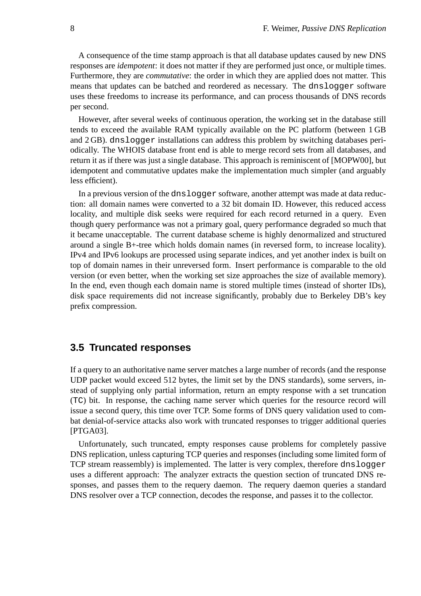A consequence of the time stamp approach is that all database updates caused by new DNS responses are *idempotent*: it does not matter if they are performed just once, or multiple times. Furthermore, they are *commutative*: the order in which they are applied does not matter. This means that updates can be batched and reordered as necessary. The dnslogger software uses these freedoms to increase its performance, and can process thousands of DNS records per second.

However, after several weeks of continuous operation, the working set in the database still tends to exceed the available RAM typically available on the PC platform (between 1 GB and 2 GB). dnslogger installations can address this problem by switching databases periodically. The WHOIS database front end is able to merge record sets from all databases, and return it as if there was just a single database. This approach is reminiscent of [MOPW00], but idempotent and commutative updates make the implementation much simpler (and arguably less efficient).

In a previous version of the dnslogger software, another attempt was made at data reduction: all domain names were converted to a 32 bit domain ID. However, this reduced access locality, and multiple disk seeks were required for each record returned in a query. Even though query performance was not a primary goal, query performance degraded so much that it became unacceptable. The current database scheme is highly denormalized and structured around a single B+-tree which holds domain names (in reversed form, to increase locality). IPv4 and IPv6 lookups are processed using separate indices, and yet another index is built on top of domain names in their unreversed form. Insert performance is comparable to the old version (or even better, when the working set size approaches the size of available memory). In the end, even though each domain name is stored multiple times (instead of shorter IDs), disk space requirements did not increase significantly, probably due to Berkeley DB's key prefix compression.

#### **3.5 Truncated responses**

If a query to an authoritative name server matches a large number of records (and the response UDP packet would exceed 512 bytes, the limit set by the DNS standards), some servers, instead of supplying only partial information, return an empty response with a set truncation (TC) bit. In response, the caching name server which queries for the resource record will issue a second query, this time over TCP. Some forms of DNS query validation used to combat denial-of-service attacks also work with truncated responses to trigger additional queries [PTGA03].

Unfortunately, such truncated, empty responses cause problems for completely passive DNS replication, unless capturing TCP queries and responses (including some limited form of TCP stream reassembly) is implemented. The latter is very complex, therefore dnslogger uses a different approach: The analyzer extracts the question section of truncated DNS responses, and passes them to the requery daemon. The requery daemon queries a standard DNS resolver over a TCP connection, decodes the response, and passes it to the collector.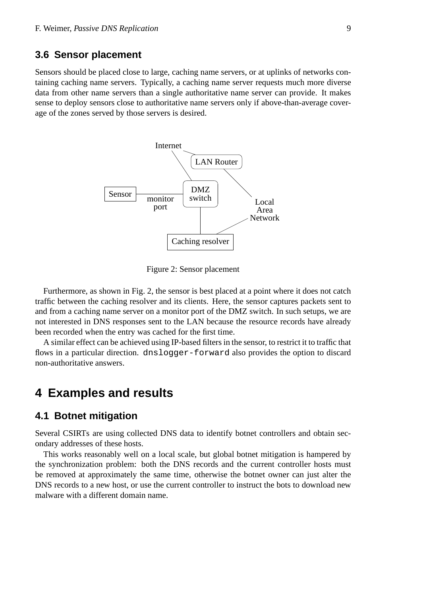#### **3.6 Sensor placement**

Sensors should be placed close to large, caching name servers, or at uplinks of networks containing caching name servers. Typically, a caching name server requests much more diverse data from other name servers than a single authoritative name server can provide. It makes sense to deploy sensors close to authoritative name servers only if above-than-average coverage of the zones served by those servers is desired.



Figure 2: Sensor placement

Furthermore, as shown in Fig. 2, the sensor is best placed at a point where it does not catch traffic between the caching resolver and its clients. Here, the sensor captures packets sent to and from a caching name server on a monitor port of the DMZ switch. In such setups, we are not interested in DNS responses sent to the LAN because the resource records have already been recorded when the entry was cached for the first time.

A similar effect can be achieved using IP-based filters in the sensor, to restrict it to traffic that flows in a particular direction. dnslogger-forward also provides the option to discard non-authoritative answers.

## **4 Examples and results**

#### **4.1 Botnet mitigation**

Several CSIRTs are using collected DNS data to identify botnet controllers and obtain secondary addresses of these hosts.

This works reasonably well on a local scale, but global botnet mitigation is hampered by the synchronization problem: both the DNS records and the current controller hosts must be removed at approximately the same time, otherwise the botnet owner can just alter the DNS records to a new host, or use the current controller to instruct the bots to download new malware with a different domain name.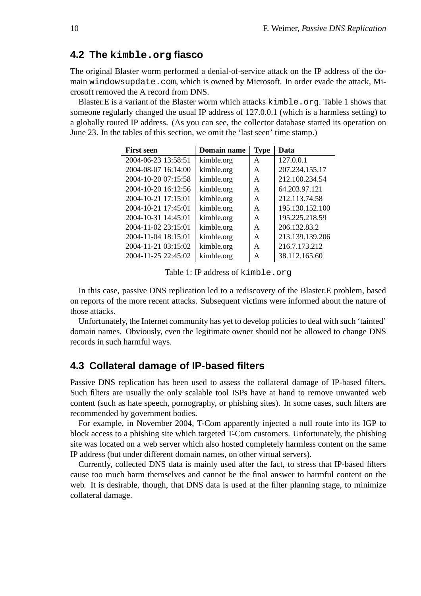#### **4.2 The kimble.org fiasco**

The original Blaster worm performed a denial-of-service attack on the IP address of the domain windowsupdate.com, which is owned by Microsoft. In order evade the attack, Microsoft removed the A record from DNS.

Blaster.E is a variant of the Blaster worm which attacks kimble.org. Table 1 shows that someone regularly changed the usual IP address of 127.0.0.1 (which is a harmless setting) to a globally routed IP address. (As you can see, the collector database started its operation on June 23. In the tables of this section, we omit the 'last seen' time stamp.)

| <b>First seen</b>   | Domain name | <b>Type</b> | Data            |
|---------------------|-------------|-------------|-----------------|
| 2004-06-23 13:58:51 | kimble.org  | A           | 127.0.0.1       |
| 2004-08-07 16:14:00 | kimble.org  | A           | 207.234.155.17  |
| 2004-10-20 07:15:58 | kimble.org  | A           | 212.100.234.54  |
| 2004-10-20 16:12:56 | kimble.org  | A           | 64.203.97.121   |
| 2004-10-21 17:15:01 | kimble.org  | A           | 212.113.74.58   |
| 2004-10-21 17:45:01 | kimble.org  | A           | 195.130.152.100 |
| 2004-10-31 14:45:01 | kimble.org  | A           | 195.225.218.59  |
| 2004-11-02 23:15:01 | kimble.org  | A           | 206.132.83.2    |
| 2004-11-04 18:15:01 | kimble.org  | A           | 213.139.139.206 |
| 2004-11-21 03:15:02 | kimble.org  | A           | 216.7.173.212   |
| 2004-11-25 22:45:02 | kimble.org  | А           | 38.112.165.60   |

Table 1: IP address of kimble.org

In this case, passive DNS replication led to a rediscovery of the Blaster.E problem, based on reports of the more recent attacks. Subsequent victims were informed about the nature of those attacks.

Unfortunately, the Internet community has yet to develop policies to deal with such 'tainted' domain names. Obviously, even the legitimate owner should not be allowed to change DNS records in such harmful ways.

#### **4.3 Collateral damage of IP-based filters**

Passive DNS replication has been used to assess the collateral damage of IP-based filters. Such filters are usually the only scalable tool ISPs have at hand to remove unwanted web content (such as hate speech, pornography, or phishing sites). In some cases, such filters are recommended by government bodies.

For example, in November 2004, T-Com apparently injected a null route into its IGP to block access to a phishing site which targeted T-Com customers. Unfortunately, the phishing site was located on a web server which also hosted completely harmless content on the same IP address (but under different domain names, on other virtual servers).

Currently, collected DNS data is mainly used after the fact, to stress that IP-based filters cause too much harm themselves and cannot be the final answer to harmful content on the web. It is desirable, though, that DNS data is used at the filter planning stage, to minimize collateral damage.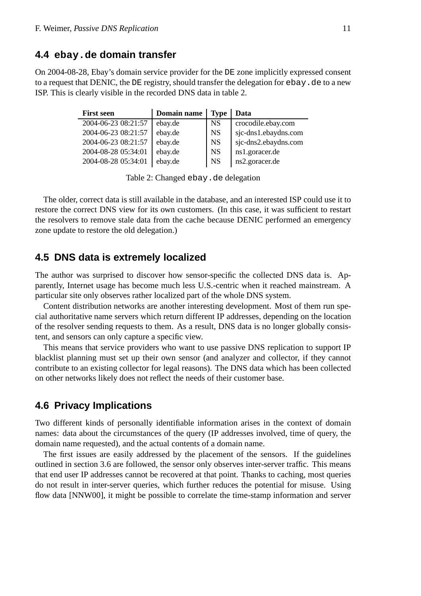#### **4.4 ebay.de domain transfer**

On 2004-08-28, Ebay's domain service provider for the DE zone implicitly expressed consent to a request that DENIC, the DE registry, should transfer the delegation for  $\epsilon$ bay.de to a new ISP. This is clearly visible in the recorded DNS data in table 2.

| <b>First seen</b>   | Domain name | <b>Type</b> | Data                 |
|---------------------|-------------|-------------|----------------------|
| 2004-06-23 08:21:57 | ebay.de     | <b>NS</b>   | crocodile.ebay.com   |
| 2004-06-23 08:21:57 | ebay.de     | <b>NS</b>   | sjc-dns1.ebaydns.com |
| 2004-06-23 08:21:57 | ebay.de     | <b>NS</b>   | sjc-dns2.ebaydns.com |
| 2004-08-28 05:34:01 | ebay.de     | <b>NS</b>   | ns1.goracer.de       |
| 2004-08-28 05:34:01 | ebay.de     | <b>NS</b>   | ns2.goracer.de       |

Table 2: Changed ebay.de delegation

The older, correct data is still available in the database, and an interested ISP could use it to restore the correct DNS view for its own customers. (In this case, it was sufficient to restart the resolvers to remove stale data from the cache because DENIC performed an emergency zone update to restore the old delegation.)

#### **4.5 DNS data is extremely localized**

The author was surprised to discover how sensor-specific the collected DNS data is. Apparently, Internet usage has become much less U.S.-centric when it reached mainstream. A particular site only observes rather localized part of the whole DNS system.

Content distribution networks are another interesting development. Most of them run special authoritative name servers which return different IP addresses, depending on the location of the resolver sending requests to them. As a result, DNS data is no longer globally consistent, and sensors can only capture a specific view.

This means that service providers who want to use passive DNS replication to support IP blacklist planning must set up their own sensor (and analyzer and collector, if they cannot contribute to an existing collector for legal reasons). The DNS data which has been collected on other networks likely does not reflect the needs of their customer base.

#### **4.6 Privacy Implications**

Two different kinds of personally identifiable information arises in the context of domain names: data about the circumstances of the query (IP addresses involved, time of query, the domain name requested), and the actual contents of a domain name.

The first issues are easily addressed by the placement of the sensors. If the guidelines outlined in section 3.6 are followed, the sensor only observes inter-server traffic. This means that end user IP addresses cannot be recovered at that point. Thanks to caching, most queries do not result in inter-server queries, which further reduces the potential for misuse. Using flow data [NNW00], it might be possible to correlate the time-stamp information and server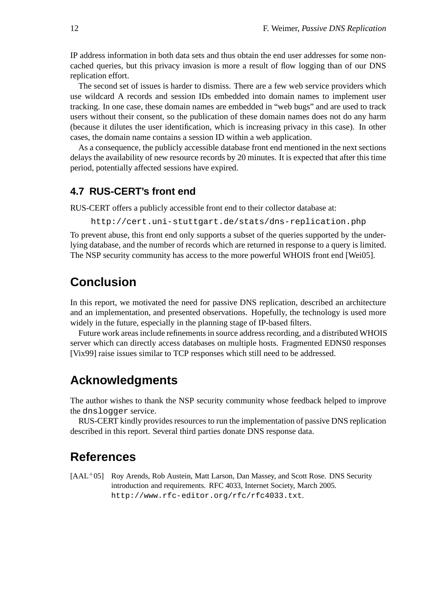IP address information in both data sets and thus obtain the end user addresses for some noncached queries, but this privacy invasion is more a result of flow logging than of our DNS replication effort.

The second set of issues is harder to dismiss. There are a few web service providers which use wildcard A records and session IDs embedded into domain names to implement user tracking. In one case, these domain names are embedded in "web bugs" and are used to track users without their consent, so the publication of these domain names does not do any harm (because it dilutes the user identification, which is increasing privacy in this case). In other cases, the domain name contains a session ID within a web application.

As a consequence, the publicly accessible database front end mentioned in the next sections delays the availability of new resource records by 20 minutes. It is expected that after this time period, potentially affected sessions have expired.

#### **4.7 RUS-CERT's front end**

RUS-CERT offers a publicly accessible front end to their collector database at:

http://cert.uni-stuttgart.de/stats/dns-replication.php

To prevent abuse, this front end only supports a subset of the queries supported by the underlying database, and the number of records which are returned in response to a query is limited. The NSP security community has access to the more powerful WHOIS front end [Wei05].

## **Conclusion**

In this report, we motivated the need for passive DNS replication, described an architecture and an implementation, and presented observations. Hopefully, the technology is used more widely in the future, especially in the planning stage of IP-based filters.

Future work areas include refinements in source address recording, and a distributed WHOIS server which can directly access databases on multiple hosts. Fragmented EDNS0 responses [Vix99] raise issues similar to TCP responses which still need to be addressed.

## **Acknowledgments**

The author wishes to thank the NSP security community whose feedback helped to improve the dnslogger service.

RUS-CERT kindly provides resources to run the implementation of passive DNS replication described in this report. Several third parties donate DNS response data.

## **References**

[AAL<sup>+</sup>05] Roy Arends, Rob Austein, Matt Larson, Dan Massey, and Scott Rose. DNS Security introduction and requirements. RFC 4033, Internet Society, March 2005. http://www.rfc-editor.org/rfc/rfc4033.txt.